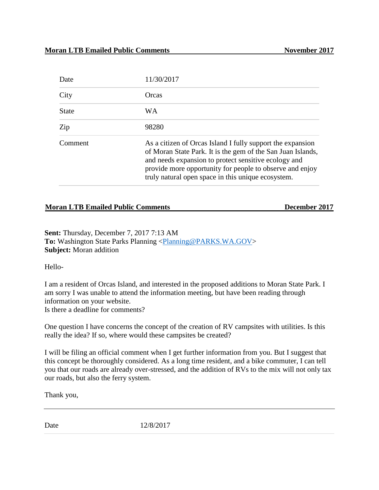| Date         | 11/30/2017                                                                                                                                                                                                                                                                                          |
|--------------|-----------------------------------------------------------------------------------------------------------------------------------------------------------------------------------------------------------------------------------------------------------------------------------------------------|
| City         | Orcas                                                                                                                                                                                                                                                                                               |
| <b>State</b> | W A                                                                                                                                                                                                                                                                                                 |
| Zip          | 98280                                                                                                                                                                                                                                                                                               |
| Comment      | As a citizen of Orcas Island I fully support the expansion<br>of Moran State Park. It is the gem of the San Juan Islands,<br>and needs expansion to protect sensitive ecology and<br>provide more opportunity for people to observe and enjoy<br>truly natural open space in this unique ecosystem. |

## **Moran LTB Emailed Public Comments December 2017**

**Sent:** Thursday, December 7, 2017 7:13 AM To: Washington State Parks Planning [<Planning@PARKS.WA.GOV>](mailto:Planning@PARKS.WA.GOV) **Subject:** Moran addition

Hello-

I am a resident of Orcas Island, and interested in the proposed additions to Moran State Park. I am sorry I was unable to attend the information meeting, but have been reading through information on your website.

Is there a deadline for comments?

One question I have concerns the concept of the creation of RV campsites with utilities. Is this really the idea? If so, where would these campsites be created?

I will be filing an official comment when I get further information from you. But I suggest that this concept be thoroughly considered. As a long time resident, and a bike commuter, I can tell you that our roads are already over-stressed, and the addition of RVs to the mix will not only tax our roads, but also the ferry system.

Thank you,

Date 12/8/2017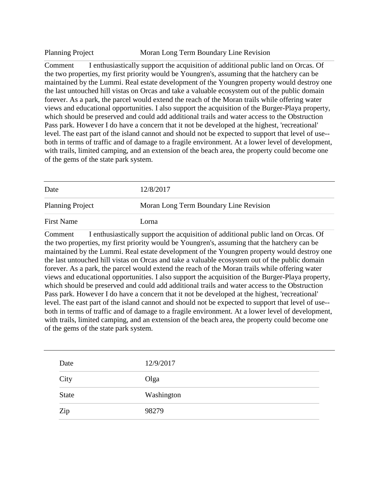Comment I enthusiastically support the acquisition of additional public land on Orcas. Of the two properties, my first priority would be Youngren's, assuming that the hatchery can be maintained by the Lummi. Real estate development of the Youngren property would destroy one the last untouched hill vistas on Orcas and take a valuable ecosystem out of the public domain forever. As a park, the parcel would extend the reach of the Moran trails while offering water views and educational opportunities. I also support the acquisition of the Burger-Playa property, which should be preserved and could add additional trails and water access to the Obstruction Pass park. However I do have a concern that it not be developed at the highest, 'recreational' level. The east part of the island cannot and should not be expected to support that level of use- both in terms of traffic and of damage to a fragile environment. At a lower level of development, with trails, limited camping, and an extension of the beach area, the property could become one of the gems of the state park system.

| Date                    | 12/8/2017                              |
|-------------------------|----------------------------------------|
| <b>Planning Project</b> | Moran Long Term Boundary Line Revision |
| <b>First Name</b>       | Lorna                                  |

Comment I enthusiastically support the acquisition of additional public land on Orcas. Of the two properties, my first priority would be Youngren's, assuming that the hatchery can be maintained by the Lummi. Real estate development of the Youngren property would destroy one the last untouched hill vistas on Orcas and take a valuable ecosystem out of the public domain forever. As a park, the parcel would extend the reach of the Moran trails while offering water views and educational opportunities. I also support the acquisition of the Burger-Playa property, which should be preserved and could add additional trails and water access to the Obstruction Pass park. However I do have a concern that it not be developed at the highest, 'recreational' level. The east part of the island cannot and should not be expected to support that level of use- both in terms of traffic and of damage to a fragile environment. At a lower level of development, with trails, limited camping, and an extension of the beach area, the property could become one of the gems of the state park system.

| Date         | 12/9/2017  |  |
|--------------|------------|--|
| City         | Olga       |  |
| <b>State</b> | Washington |  |
| Zip          | 98279      |  |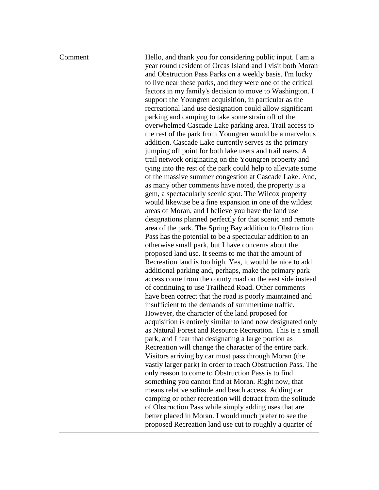Comment Hello, and thank you for considering public input. I am a year round resident of Orcas Island and I visit both Moran and Obstruction Pass Parks on a weekly basis. I'm lucky to live near these parks, and they were one of the critical factors in my family's decision to move to Washington. I support the Youngren acquisition, in particular as the recreational land use designation could allow significant parking and camping to take some strain off of the overwhelmed Cascade Lake parking area. Trail access to the rest of the park from Youngren would be a marvelous addition. Cascade Lake currently serves as the primary jumping off point for both lake users and trail users. A trail network originating on the Youngren property and tying into the rest of the park could help to alleviate some of the massive summer congestion at Cascade Lake. And, as many other comments have noted, the property is a gem, a spectacularly scenic spot. The Wilcox property would likewise be a fine expansion in one of the wildest areas of Moran, and I believe you have the land use designations planned perfectly for that scenic and remote area of the park. The Spring Bay addition to Obstruction Pass has the potential to be a spectacular addition to an otherwise small park, but I have concerns about the proposed land use. It seems to me that the amount of Recreation land is too high. Yes, it would be nice to add additional parking and, perhaps, make the primary park access come from the county road on the east side instead of continuing to use Trailhead Road. Other comments have been correct that the road is poorly maintained and insufficient to the demands of summertime traffic. However, the character of the land proposed for acquisition is entirely similar to land now designated only as Natural Forest and Resource Recreation. This is a small park, and I fear that designating a large portion as Recreation will change the character of the entire park. Visitors arriving by car must pass through Moran (the vastly larger park) in order to reach Obstruction Pass. The only reason to come to Obstruction Pass is to find something you cannot find at Moran. Right now, that means relative solitude and beach access. Adding car camping or other recreation will detract from the solitude of Obstruction Pass while simply adding uses that are better placed in Moran. I would much prefer to see the proposed Recreation land use cut to roughly a quarter of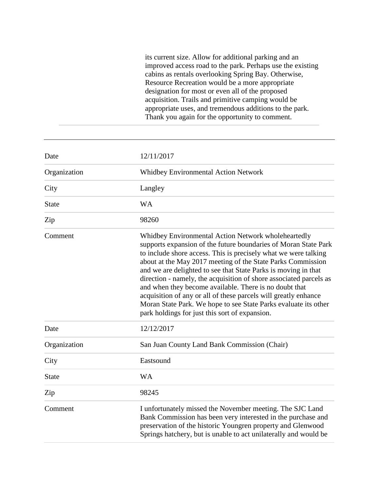its current size. Allow for additional parking and an improved access road to the park. Perhaps use the existing cabins as rentals overlooking Spring Bay. Otherwise, Resource Recreation would be a more appropriate designation for most or even all of the proposed acquisition. Trails and primitive camping would be appropriate uses, and tremendous additions to the park. Thank you again for the opportunity to comment.

| Date         | 12/11/2017                                                                                                                                                                                                                                                                                                                                                                                                                                                                                                                                                                                                                                         |
|--------------|----------------------------------------------------------------------------------------------------------------------------------------------------------------------------------------------------------------------------------------------------------------------------------------------------------------------------------------------------------------------------------------------------------------------------------------------------------------------------------------------------------------------------------------------------------------------------------------------------------------------------------------------------|
| Organization | <b>Whidbey Environmental Action Network</b>                                                                                                                                                                                                                                                                                                                                                                                                                                                                                                                                                                                                        |
| City         | Langley                                                                                                                                                                                                                                                                                                                                                                                                                                                                                                                                                                                                                                            |
| <b>State</b> | <b>WA</b>                                                                                                                                                                                                                                                                                                                                                                                                                                                                                                                                                                                                                                          |
| Zip          | 98260                                                                                                                                                                                                                                                                                                                                                                                                                                                                                                                                                                                                                                              |
| Comment      | Whidbey Environmental Action Network wholeheartedly<br>supports expansion of the future boundaries of Moran State Park<br>to include shore access. This is precisely what we were talking<br>about at the May 2017 meeting of the State Parks Commission<br>and we are delighted to see that State Parks is moving in that<br>direction - namely, the acquisition of shore associated parcels as<br>and when they become available. There is no doubt that<br>acquisition of any or all of these parcels will greatly enhance<br>Moran State Park. We hope to see State Parks evaluate its other<br>park holdings for just this sort of expansion. |
| Date         | 12/12/2017                                                                                                                                                                                                                                                                                                                                                                                                                                                                                                                                                                                                                                         |
| Organization | San Juan County Land Bank Commission (Chair)                                                                                                                                                                                                                                                                                                                                                                                                                                                                                                                                                                                                       |
| City         | Eastsound                                                                                                                                                                                                                                                                                                                                                                                                                                                                                                                                                                                                                                          |
| <b>State</b> | <b>WA</b>                                                                                                                                                                                                                                                                                                                                                                                                                                                                                                                                                                                                                                          |
| Zip          | 98245                                                                                                                                                                                                                                                                                                                                                                                                                                                                                                                                                                                                                                              |
| Comment      | I unfortunately missed the November meeting. The SJC Land<br>Bank Commission has been very interested in the purchase and<br>preservation of the historic Youngren property and Glenwood<br>Springs hatchery, but is unable to act unilaterally and would be                                                                                                                                                                                                                                                                                                                                                                                       |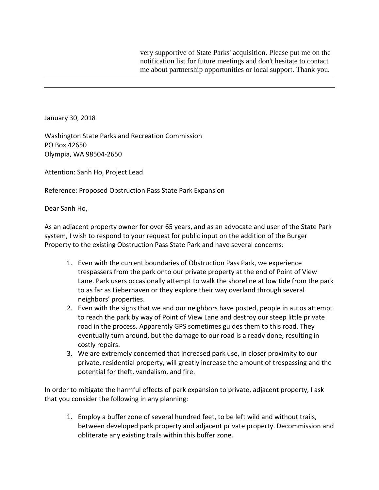very supportive of State Parks' acquisition. Please put me on the notification list for future meetings and don't hesitate to contact me about partnership opportunities or local support. Thank you.

January 30, 2018

Washington State Parks and Recreation Commission PO Box 42650 Olympia, WA 98504-2650

Attention: Sanh Ho, Project Lead

Reference: Proposed Obstruction Pass State Park Expansion

Dear Sanh Ho,

As an adjacent property owner for over 65 years, and as an advocate and user of the State Park system, I wish to respond to your request for public input on the addition of the Burger Property to the existing Obstruction Pass State Park and have several concerns:

- 1. Even with the current boundaries of Obstruction Pass Park, we experience trespassers from the park onto our private property at the end of Point of View Lane. Park users occasionally attempt to walk the shoreline at low tide from the park to as far as Lieberhaven or they explore their way overland through several neighbors' properties.
- 2. Even with the signs that we and our neighbors have posted, people in autos attempt to reach the park by way of Point of View Lane and destroy our steep little private road in the process. Apparently GPS sometimes guides them to this road. They eventually turn around, but the damage to our road is already done, resulting in costly repairs.
- 3. We are extremely concerned that increased park use, in closer proximity to our private, residential property, will greatly increase the amount of trespassing and the potential for theft, vandalism, and fire.

In order to mitigate the harmful effects of park expansion to private, adjacent property, I ask that you consider the following in any planning:

1. Employ a buffer zone of several hundred feet, to be left wild and without trails, between developed park property and adjacent private property. Decommission and obliterate any existing trails within this buffer zone.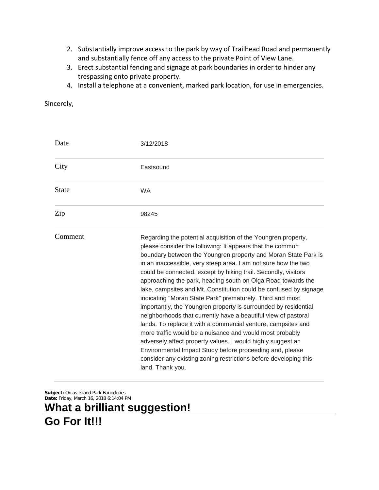- 2. Substantially improve access to the park by way of Trailhead Road and permanently and substantially fence off any access to the private Point of View Lane.
- 3. Erect substantial fencing and signage at park boundaries in order to hinder any trespassing onto private property.
- 4. Install a telephone at a convenient, marked park location, for use in emergencies.

|  |  | Sincerely, |
|--|--|------------|
|  |  |            |

| Date         | 3/12/2018                                                                                                                                                                                                                                                                                                                                                                                                                                                                                                                                                                                                                                                                                                                                                                                                                                                                                                                                                                                                               |
|--------------|-------------------------------------------------------------------------------------------------------------------------------------------------------------------------------------------------------------------------------------------------------------------------------------------------------------------------------------------------------------------------------------------------------------------------------------------------------------------------------------------------------------------------------------------------------------------------------------------------------------------------------------------------------------------------------------------------------------------------------------------------------------------------------------------------------------------------------------------------------------------------------------------------------------------------------------------------------------------------------------------------------------------------|
| City         | Eastsound                                                                                                                                                                                                                                                                                                                                                                                                                                                                                                                                                                                                                                                                                                                                                                                                                                                                                                                                                                                                               |
| <b>State</b> | <b>WA</b>                                                                                                                                                                                                                                                                                                                                                                                                                                                                                                                                                                                                                                                                                                                                                                                                                                                                                                                                                                                                               |
| Zip          | 98245                                                                                                                                                                                                                                                                                                                                                                                                                                                                                                                                                                                                                                                                                                                                                                                                                                                                                                                                                                                                                   |
| Comment      | Regarding the potential acquisition of the Youngren property,<br>please consider the following: It appears that the common<br>boundary between the Youngren property and Moran State Park is<br>in an inaccessible, very steep area. I am not sure how the two<br>could be connected, except by hiking trail. Secondly, visitors<br>approaching the park, heading south on Olga Road towards the<br>lake, campsites and Mt. Constitution could be confused by signage<br>indicating "Moran State Park" prematurely. Third and most<br>importantly, the Youngren property is surrounded by residential<br>neighborhoods that currently have a beautiful view of pastoral<br>lands. To replace it with a commercial venture, campsites and<br>more traffic would be a nuisance and would most probably<br>adversely affect property values. I would highly suggest an<br>Environmental Impact Study before proceeding and, please<br>consider any existing zoning restrictions before developing this<br>land. Thank you. |

**Subject:** Orcas Island Park Bounderies **Date:** Friday, March 16, 2018 6:14:04 PM

**What a brilliant suggestion! Go For It!!!**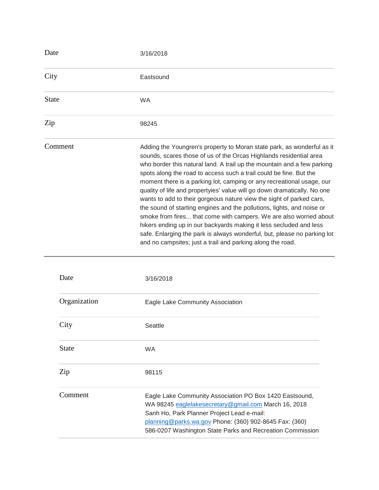| Date         | 3/16/2018                                                                                                                                                                                                                                                                                                                                                                                                                                                                                                                                                                                                                                                                                                                                                                                                                                                                                  |
|--------------|--------------------------------------------------------------------------------------------------------------------------------------------------------------------------------------------------------------------------------------------------------------------------------------------------------------------------------------------------------------------------------------------------------------------------------------------------------------------------------------------------------------------------------------------------------------------------------------------------------------------------------------------------------------------------------------------------------------------------------------------------------------------------------------------------------------------------------------------------------------------------------------------|
| City         | Eastsound                                                                                                                                                                                                                                                                                                                                                                                                                                                                                                                                                                                                                                                                                                                                                                                                                                                                                  |
| <b>State</b> | <b>WA</b>                                                                                                                                                                                                                                                                                                                                                                                                                                                                                                                                                                                                                                                                                                                                                                                                                                                                                  |
| Zip          | 98245                                                                                                                                                                                                                                                                                                                                                                                                                                                                                                                                                                                                                                                                                                                                                                                                                                                                                      |
| Comment      | Adding the Youngren's property to Moran state park, as wonderful as it<br>sounds, scares those of us of the Orcas Highlands residential area<br>who border this natural land. A trail up the mountain and a few parking<br>spots along the road to access such a trail could be fine. But the<br>moment there is a parking lot, camping or any recreational usage, our<br>quality of life and propertyies' value will go down dramatically. No one<br>wants to add to their gorgeous nature view the sight of parked cars,<br>the sound of starting engines and the pollutions, lights, and noise or<br>smoke from fires that come with campers. We are also worried about<br>hikers ending up in our backyards making it less secluded and less<br>safe. Enlarging the park is always wonderful, but, please no parking lot<br>and no campsites; just a trail and parking along the road. |

| Date         | 3/16/2018                                                                                                                                                                                                                                                                              |
|--------------|----------------------------------------------------------------------------------------------------------------------------------------------------------------------------------------------------------------------------------------------------------------------------------------|
| Organization | Eagle Lake Community Association                                                                                                                                                                                                                                                       |
| City         | Seattle                                                                                                                                                                                                                                                                                |
| <b>State</b> | <b>WA</b>                                                                                                                                                                                                                                                                              |
| Zip          | 98115                                                                                                                                                                                                                                                                                  |
| Comment      | Eagle Lake Community Association PO Box 1420 Eastsound,<br>WA 98245 eaglelakesecretary@gmail.com March 16, 2018<br>Sanh Ho, Park Planner Project Lead e-mail:<br>$planning@parks.wa.gov$ Phone: (360) 902-8645 Fax: (360)<br>586-0207 Washington State Parks and Recreation Commission |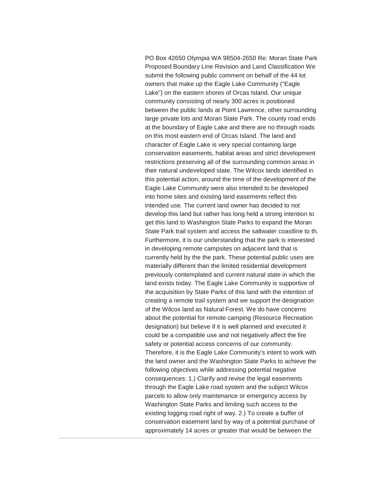PO Box 42650 Olympia WA 98504-2650 Re: Moran State Park Proposed Boundary Line Revision and Land Classification We submit the following public comment on behalf of the 44 lot owners that make up the Eagle Lake Community ("Eagle Lake") on the eastern shores of Orcas Island. Our unique community consisting of nearly 300 acres is positioned between the public lands at Point Lawrence, other surrounding large private lots and Moran State Park. The county road ends at the boundary of Eagle Lake and there are no through roads on this most eastern end of Orcas Island. The land and character of Eagle Lake is very special containing large conservation easements, habitat areas and strict development restrictions preserving all of the surrounding common areas in their natural undeveloped state. The Wilcox lands identified in this potential action, around the time of the development of the Eagle Lake Community were also intended to be developed into home sites and existing land easements reflect this intended use. The current land owner has decided to not develop this land but rather has long held a strong intention to get this land to Washington State Parks to expand the Moran State Park trail system and access the saltwater coastline to th. Furthermore, it is our understanding that the park is interested in developing remote campsites on adjacent land that is currently held by the the park. These potential public uses are materially different than the limited residential development previously contemplated and current natural state in which the land exists today. The Eagle Lake Community is supportive of the acquisition by State Parks of this land with the intention of creating a remote trail system and we support the designation of the Wilcox land as Natural Forest. We do have concerns about the potential for remote camping (Resource Recreation designation) but believe if it is well planned and executed it could be a compatible use and not negatively affect the fire safety or potential access concerns of our community. Therefore, it is the Eagle Lake Community's intent to work with the land owner and the Washington State Parks to achieve the following objectives while addressing potential negative consequences: 1.) Clarify and revise the legal easements through the Eagle Lake road system and the subject Wilcox parcels to allow only maintenance or emergency access by Washington State Parks and limiting such access to the existing logging road right of way. 2.) To create a buffer of conservation easement land by way of a potential purchase of approximately 14 acres or greater that would be between the